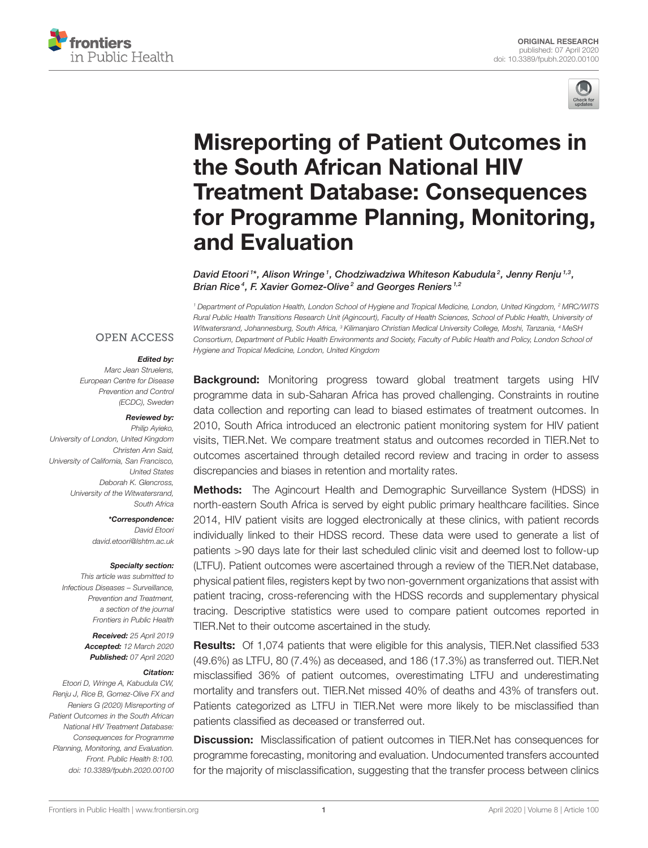



# Misreporting of Patient Outcomes in the South African National HIV Treatment Database: Consequences [for Programme Planning, Monitoring,](https://www.frontiersin.org/articles/10.3389/fpubh.2020.00100/full) and Evaluation

[David Etoori](http://loop.frontiersin.org/people/657482/overview)<sup>1\*</sup>, [Alison Wringe](http://loop.frontiersin.org/people/741814/overview)<sup>1</sup>, Chodziwadziwa Whiteson Kabudula<sup>2</sup>, Jenny Renju<sup>1,3</sup>, [Brian Rice](http://loop.frontiersin.org/people/754383/overview)<sup>4</sup>, F. Xavier Gomez-Olive<sup>2</sup> and Georges Reniers<sup>1,2</sup>

*<sup>1</sup> Department of Population Health, London School of Hygiene and Tropical Medicine, London, United Kingdom, <sup>2</sup> MRC/WITS Rural Public Health Transitions Research Unit (Agincourt), Faculty of Health Sciences, School of Public Health, University of Witwatersrand, Johannesburg, South Africa, <sup>3</sup> Kilimanjaro Christian Medical University College, Moshi, Tanzania, <sup>4</sup> MeSH Consortium, Department of Public Health Environments and Society, Faculty of Public Health and Policy, London School of Hygiene and Tropical Medicine, London, United Kingdom*

#### **OPEN ACCESS**

#### Edited by:

*Marc Jean Struelens, European Centre for Disease Prevention and Control (ECDC), Sweden*

#### Reviewed by:

*Philip Ayieko, University of London, United Kingdom Christen Ann Said, University of California, San Francisco, United States Deborah K. Glencross, University of the Witwatersrand, South Africa*

> \*Correspondence: *David Etoori [david.etoori@lshtm.ac.uk](mailto:david.etoori@lshtm.ac.uk)*

#### Specialty section:

*This article was submitted to Infectious Diseases – Surveillance, Prevention and Treatment, a section of the journal Frontiers in Public Health*

> Received: *25 April 2019* Accepted: *12 March 2020* Published: *07 April 2020*

#### Citation:

*Etoori D, Wringe A, Kabudula CW, Renju J, Rice B, Gomez-Olive FX and Reniers G (2020) Misreporting of Patient Outcomes in the South African National HIV Treatment Database: Consequences for Programme Planning, Monitoring, and Evaluation. Front. Public Health 8:100. doi: [10.3389/fpubh.2020.00100](https://doi.org/10.3389/fpubh.2020.00100)*

**Background:** Monitoring progress toward global treatment targets using HIV programme data in sub-Saharan Africa has proved challenging. Constraints in routine data collection and reporting can lead to biased estimates of treatment outcomes. In 2010, South Africa introduced an electronic patient monitoring system for HIV patient visits, TIER.Net. We compare treatment status and outcomes recorded in TIER.Net to outcomes ascertained through detailed record review and tracing in order to assess discrepancies and biases in retention and mortality rates.

Methods: The Agincourt Health and Demographic Surveillance System (HDSS) in north-eastern South Africa is served by eight public primary healthcare facilities. Since 2014, HIV patient visits are logged electronically at these clinics, with patient records individually linked to their HDSS record. These data were used to generate a list of patients >90 days late for their last scheduled clinic visit and deemed lost to follow-up (LTFU). Patient outcomes were ascertained through a review of the TIER.Net database, physical patient files, registers kept by two non-government organizations that assist with patient tracing, cross-referencing with the HDSS records and supplementary physical tracing. Descriptive statistics were used to compare patient outcomes reported in TIER.Net to their outcome ascertained in the study.

**Results:** Of 1,074 patients that were eligible for this analysis, TIER.Net classified 533 (49.6%) as LTFU, 80 (7.4%) as deceased, and 186 (17.3%) as transferred out. TIER.Net misclassified 36% of patient outcomes, overestimating LTFU and underestimating mortality and transfers out. TIER.Net missed 40% of deaths and 43% of transfers out. Patients categorized as LTFU in TIER.Net were more likely to be misclassified than patients classified as deceased or transferred out.

**Discussion:** Misclassification of patient outcomes in TIER.Net has consequences for programme forecasting, monitoring and evaluation. Undocumented transfers accounted for the majority of misclassification, suggesting that the transfer process between clinics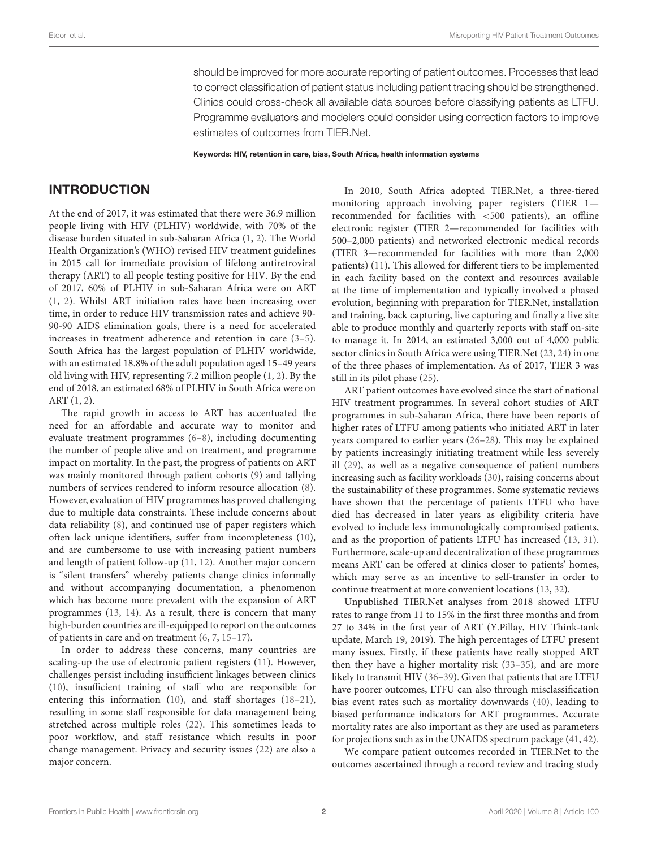should be improved for more accurate reporting of patient outcomes. Processes that lead to correct classification of patient status including patient tracing should be strengthened. Clinics could cross-check all available data sources before classifying patients as LTFU. Programme evaluators and modelers could consider using correction factors to improve estimates of outcomes from TIER.Net.

Keywords: HIV, retention in care, bias, South Africa, health information systems

# INTRODUCTION

At the end of 2017, it was estimated that there were 36.9 million people living with HIV (PLHIV) worldwide, with 70% of the disease burden situated in sub-Saharan Africa [\(1,](#page-8-0) [2\)](#page-8-1). The World Health Organization's (WHO) revised HIV treatment guidelines in 2015 call for immediate provision of lifelong antiretroviral therapy (ART) to all people testing positive for HIV. By the end of 2017, 60% of PLHIV in sub-Saharan Africa were on ART [\(1,](#page-8-0) [2\)](#page-8-1). Whilst ART initiation rates have been increasing over time, in order to reduce HIV transmission rates and achieve 90- 90-90 AIDS elimination goals, there is a need for accelerated increases in treatment adherence and retention in care [\(3](#page-8-2)[–5\)](#page-8-3). South Africa has the largest population of PLHIV worldwide, with an estimated 18.8% of the adult population aged 15–49 years old living with HIV, representing 7.2 million people [\(1,](#page-8-0) [2\)](#page-8-1). By the end of 2018, an estimated 68% of PLHIV in South Africa were on ART [\(1,](#page-8-0) [2\)](#page-8-1).

The rapid growth in access to ART has accentuated the need for an affordable and accurate way to monitor and evaluate treatment programmes [\(6–](#page-8-4)[8\)](#page-8-5), including documenting the number of people alive and on treatment, and programme impact on mortality. In the past, the progress of patients on ART was mainly monitored through patient cohorts [\(9\)](#page-8-6) and tallying numbers of services rendered to inform resource allocation [\(8\)](#page-8-5). However, evaluation of HIV programmes has proved challenging due to multiple data constraints. These include concerns about data reliability [\(8\)](#page-8-5), and continued use of paper registers which often lack unique identifiers, suffer from incompleteness [\(10\)](#page-8-7), and are cumbersome to use with increasing patient numbers and length of patient follow-up [\(11,](#page-8-8) [12\)](#page-8-9). Another major concern is "silent transfers" whereby patients change clinics informally and without accompanying documentation, a phenomenon which has become more prevalent with the expansion of ART programmes [\(13,](#page-8-10) [14\)](#page-8-11). As a result, there is concern that many high-burden countries are ill-equipped to report on the outcomes of patients in care and on treatment [\(6,](#page-8-4) [7,](#page-8-12) [15–](#page-8-13)[17\)](#page-8-14).

In order to address these concerns, many countries are scaling-up the use of electronic patient registers [\(11\)](#page-8-8). However, challenges persist including insufficient linkages between clinics [\(10\)](#page-8-7), insufficient training of staff who are responsible for entering this information [\(10\)](#page-8-7), and staff shortages [\(18–](#page-8-15)[21\)](#page-8-16), resulting in some staff responsible for data management being stretched across multiple roles [\(22\)](#page-8-17). This sometimes leads to poor workflow, and staff resistance which results in poor change management. Privacy and security issues [\(22\)](#page-8-17) are also a major concern.

In 2010, South Africa adopted TIER.Net, a three-tiered monitoring approach involving paper registers (TIER 1 recommended for facilities with <500 patients), an offline electronic register (TIER 2—recommended for facilities with 500–2,000 patients) and networked electronic medical records (TIER 3—recommended for facilities with more than 2,000 patients) [\(11\)](#page-8-8). This allowed for different tiers to be implemented in each facility based on the context and resources available at the time of implementation and typically involved a phased evolution, beginning with preparation for TIER.Net, installation and training, back capturing, live capturing and finally a live site able to produce monthly and quarterly reports with staff on-site to manage it. In 2014, an estimated 3,000 out of 4,000 public sector clinics in South Africa were using TIER.Net [\(23,](#page-9-0) [24\)](#page-9-1) in one of the three phases of implementation. As of 2017, TIER 3 was still in its pilot phase [\(25\)](#page-9-2).

ART patient outcomes have evolved since the start of national HIV treatment programmes. In several cohort studies of ART programmes in sub-Saharan Africa, there have been reports of higher rates of LTFU among patients who initiated ART in later years compared to earlier years [\(26–](#page-9-3)[28\)](#page-9-4). This may be explained by patients increasingly initiating treatment while less severely ill [\(29\)](#page-9-5), as well as a negative consequence of patient numbers increasing such as facility workloads [\(30\)](#page-9-6), raising concerns about the sustainability of these programmes. Some systematic reviews have shown that the percentage of patients LTFU who have died has decreased in later years as eligibility criteria have evolved to include less immunologically compromised patients, and as the proportion of patients LTFU has increased [\(13,](#page-8-10) [31\)](#page-9-7). Furthermore, scale-up and decentralization of these programmes means ART can be offered at clinics closer to patients' homes, which may serve as an incentive to self-transfer in order to continue treatment at more convenient locations [\(13,](#page-8-10) [32\)](#page-9-8).

Unpublished TIER.Net analyses from 2018 showed LTFU rates to range from 11 to 15% in the first three months and from 27 to 34% in the first year of ART (Y.Pillay, HIV Think-tank update, March 19, 2019). The high percentages of LTFU present many issues. Firstly, if these patients have really stopped ART then they have a higher mortality risk [\(33](#page-9-9)[–35\)](#page-9-10), and are more likely to transmit HIV [\(36–](#page-9-11)[39\)](#page-9-12). Given that patients that are LTFU have poorer outcomes, LTFU can also through misclassification bias event rates such as mortality downwards [\(40\)](#page-9-13), leading to biased performance indicators for ART programmes. Accurate mortality rates are also important as they are used as parameters for projections such as in the UNAIDS spectrum package [\(41,](#page-9-14) [42\)](#page-9-15).

We compare patient outcomes recorded in TIER.Net to the outcomes ascertained through a record review and tracing study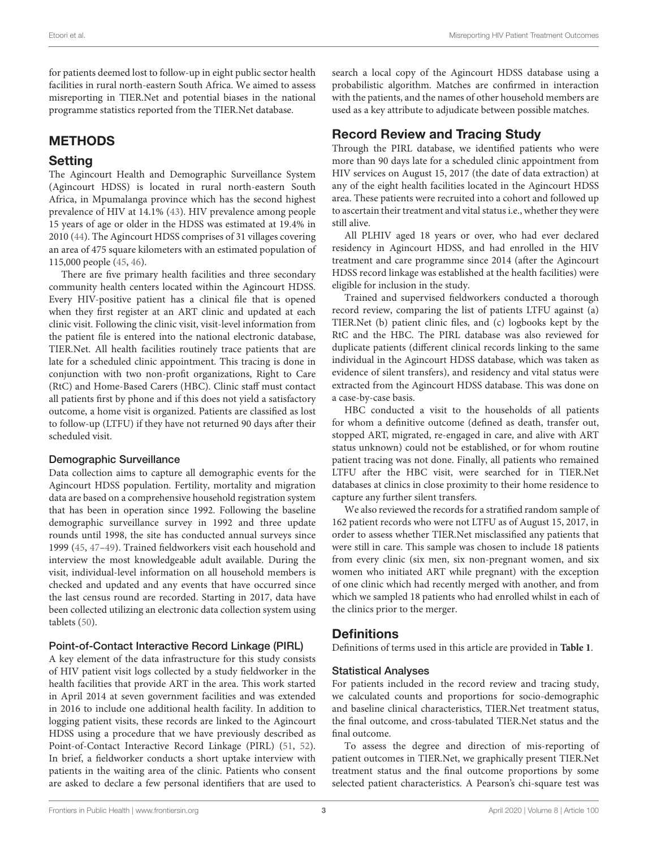for patients deemed lost to follow-up in eight public sector health facilities in rural north-eastern South Africa. We aimed to assess misreporting in TIER.Net and potential biases in the national programme statistics reported from the TIER.Net database.

# METHODS

#### Setting

The Agincourt Health and Demographic Surveillance System (Agincourt HDSS) is located in rural north-eastern South Africa, in Mpumalanga province which has the second highest prevalence of HIV at 14.1% [\(43\)](#page-9-16). HIV prevalence among people 15 years of age or older in the HDSS was estimated at 19.4% in 2010 [\(44\)](#page-9-17). The Agincourt HDSS comprises of 31 villages covering an area of 475 square kilometers with an estimated population of 115,000 people [\(45,](#page-9-18) [46\)](#page-9-19).

There are five primary health facilities and three secondary community health centers located within the Agincourt HDSS. Every HIV-positive patient has a clinical file that is opened when they first register at an ART clinic and updated at each clinic visit. Following the clinic visit, visit-level information from the patient file is entered into the national electronic database, TIER.Net. All health facilities routinely trace patients that are late for a scheduled clinic appointment. This tracing is done in conjunction with two non-profit organizations, Right to Care (RtC) and Home-Based Carers (HBC). Clinic staff must contact all patients first by phone and if this does not yield a satisfactory outcome, a home visit is organized. Patients are classified as lost to follow-up (LTFU) if they have not returned 90 days after their scheduled visit.

#### Demographic Surveillance

Data collection aims to capture all demographic events for the Agincourt HDSS population. Fertility, mortality and migration data are based on a comprehensive household registration system that has been in operation since 1992. Following the baseline demographic surveillance survey in 1992 and three update rounds until 1998, the site has conducted annual surveys since 1999 [\(45,](#page-9-18) [47–](#page-9-20)[49\)](#page-9-21). Trained fieldworkers visit each household and interview the most knowledgeable adult available. During the visit, individual-level information on all household members is checked and updated and any events that have occurred since the last census round are recorded. Starting in 2017, data have been collected utilizing an electronic data collection system using tablets [\(50\)](#page-9-22).

#### Point-of-Contact Interactive Record Linkage (PIRL)

A key element of the data infrastructure for this study consists of HIV patient visit logs collected by a study fieldworker in the health facilities that provide ART in the area. This work started in April 2014 at seven government facilities and was extended in 2016 to include one additional health facility. In addition to logging patient visits, these records are linked to the Agincourt HDSS using a procedure that we have previously described as Point-of-Contact Interactive Record Linkage (PIRL) [\(51,](#page-9-23) [52\)](#page-9-24). In brief, a fieldworker conducts a short uptake interview with patients in the waiting area of the clinic. Patients who consent are asked to declare a few personal identifiers that are used to search a local copy of the Agincourt HDSS database using a probabilistic algorithm. Matches are confirmed in interaction with the patients, and the names of other household members are used as a key attribute to adjudicate between possible matches.

# Record Review and Tracing Study

Through the PIRL database, we identified patients who were more than 90 days late for a scheduled clinic appointment from HIV services on August 15, 2017 (the date of data extraction) at any of the eight health facilities located in the Agincourt HDSS area. These patients were recruited into a cohort and followed up to ascertain their treatment and vital status i.e., whether they were still alive.

All PLHIV aged 18 years or over, who had ever declared residency in Agincourt HDSS, and had enrolled in the HIV treatment and care programme since 2014 (after the Agincourt HDSS record linkage was established at the health facilities) were eligible for inclusion in the study.

Trained and supervised fieldworkers conducted a thorough record review, comparing the list of patients LTFU against (a) TIER.Net (b) patient clinic files, and (c) logbooks kept by the RtC and the HBC. The PIRL database was also reviewed for duplicate patients (different clinical records linking to the same individual in the Agincourt HDSS database, which was taken as evidence of silent transfers), and residency and vital status were extracted from the Agincourt HDSS database. This was done on a case-by-case basis.

HBC conducted a visit to the households of all patients for whom a definitive outcome (defined as death, transfer out, stopped ART, migrated, re-engaged in care, and alive with ART status unknown) could not be established, or for whom routine patient tracing was not done. Finally, all patients who remained LTFU after the HBC visit, were searched for in TIER.Net databases at clinics in close proximity to their home residence to capture any further silent transfers.

We also reviewed the records for a stratified random sample of 162 patient records who were not LTFU as of August 15, 2017, in order to assess whether TIER.Net misclassified any patients that were still in care. This sample was chosen to include 18 patients from every clinic (six men, six non-pregnant women, and six women who initiated ART while pregnant) with the exception of one clinic which had recently merged with another, and from which we sampled 18 patients who had enrolled whilst in each of the clinics prior to the merger.

## **Definitions**

Definitions of terms used in this article are provided in **[Table 1](#page-3-0)**.

#### Statistical Analyses

For patients included in the record review and tracing study, we calculated counts and proportions for socio-demographic and baseline clinical characteristics, TIER.Net treatment status, the final outcome, and cross-tabulated TIER.Net status and the final outcome.

To assess the degree and direction of mis-reporting of patient outcomes in TIER.Net, we graphically present TIER.Net treatment status and the final outcome proportions by some selected patient characteristics. A Pearson's chi-square test was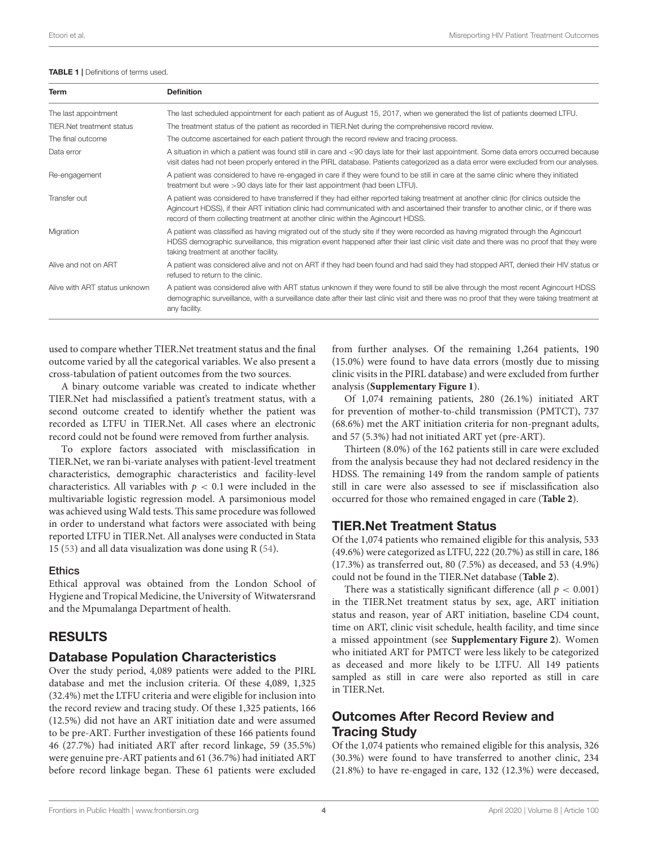#### <span id="page-3-0"></span>TABLE 1 | Definitions of terms used.

| <b>Term</b>                      | <b>Definition</b>                                                                                                                                                                                                                                                                                                                                                   |
|----------------------------------|---------------------------------------------------------------------------------------------------------------------------------------------------------------------------------------------------------------------------------------------------------------------------------------------------------------------------------------------------------------------|
| The last appointment             | The last scheduled appointment for each patient as of August 15, 2017, when we generated the list of patients deemed LTFU.                                                                                                                                                                                                                                          |
| <b>TIER.Net treatment status</b> | The treatment status of the patient as recorded in TIER. Net during the comprehensive record review.                                                                                                                                                                                                                                                                |
| The final outcome                | The outcome ascertained for each patient through the record review and tracing process.                                                                                                                                                                                                                                                                             |
| Data error                       | A situation in which a patient was found still in care and <90 days late for their last appointment. Some data errors occurred because<br>visit dates had not been properly entered in the PIRL database. Patients categorized as a data error were excluded from our analyses.                                                                                     |
| Re-engagement                    | A patient was considered to have re-engaged in care if they were found to be still in care at the same clinic where they initiated<br>treatment but were >90 days late for their last appointment (had been LTFU).                                                                                                                                                  |
| Transfer out                     | A patient was considered to have transferred if they had either reported taking treatment at another clinic (for clinics outside the<br>Agincourt HDSS), if their ART initiation clinic had communicated with and ascertained their transfer to another clinic, or if there was<br>record of them collecting treatment at another clinic within the Agincourt HDSS. |
| Migration                        | A patient was classified as having migrated out of the study site if they were recorded as having migrated through the Agincourt<br>HDSS demographic surveillance, this migration event happened after their last clinic visit date and there was no proof that they were<br>taking treatment at another facility.                                                  |
| Alive and not on ART             | A patient was considered alive and not on ART if they had been found and had said they had stopped ART, denied their HIV status or<br>refused to return to the clinic.                                                                                                                                                                                              |
| Alive with ART status unknown    | A patient was considered alive with ART status unknown if they were found to still be alive through the most recent Agincourt HDSS<br>demographic surveillance, with a surveillance date after their last clinic visit and there was no proof that they were taking treatment at<br>any facility.                                                                   |

used to compare whether TIER.Net treatment status and the final outcome varied by all the categorical variables. We also present a cross-tabulation of patient outcomes from the two sources.

A binary outcome variable was created to indicate whether TIER.Net had misclassified a patient's treatment status, with a second outcome created to identify whether the patient was recorded as LTFU in TIER.Net. All cases where an electronic record could not be found were removed from further analysis.

To explore factors associated with misclassification in TIER.Net, we ran bi-variate analyses with patient-level treatment characteristics, demographic characteristics and facility-level characteristics. All variables with  $p < 0.1$  were included in the multivariable logistic regression model. A parsimonious model was achieved using Wald tests. This same procedure was followed in order to understand what factors were associated with being reported LTFU in TIER.Net. All analyses were conducted in Stata 15 [\(53\)](#page-9-25) and all data visualization was done using R [\(54\)](#page-9-26).

#### Ethics

Ethical approval was obtained from the London School of Hygiene and Tropical Medicine, the University of Witwatersrand and the Mpumalanga Department of health.

## RESULTS

#### Database Population Characteristics

Over the study period, 4,089 patients were added to the PIRL database and met the inclusion criteria. Of these 4,089, 1,325 (32.4%) met the LTFU criteria and were eligible for inclusion into the record review and tracing study. Of these 1,325 patients, 166 (12.5%) did not have an ART initiation date and were assumed to be pre-ART. Further investigation of these 166 patients found 46 (27.7%) had initiated ART after record linkage, 59 (35.5%) were genuine pre-ART patients and 61 (36.7%) had initiated ART before record linkage began. These 61 patients were excluded from further analyses. Of the remaining 1,264 patients, 190 (15.0%) were found to have data errors (mostly due to missing clinic visits in the PIRL database) and were excluded from further analysis (**[Supplementary Figure 1](#page-8-18)**).

Of 1,074 remaining patients, 280 (26.1%) initiated ART for prevention of mother-to-child transmission (PMTCT), 737 (68.6%) met the ART initiation criteria for non-pregnant adults, and 57 (5.3%) had not initiated ART yet (pre-ART).

Thirteen (8.0%) of the 162 patients still in care were excluded from the analysis because they had not declared residency in the HDSS. The remaining 149 from the random sample of patients still in care were also assessed to see if misclassification also occurred for those who remained engaged in care (**[Table 2](#page-4-0)**).

#### TIER.Net Treatment Status

Of the 1,074 patients who remained eligible for this analysis, 533 (49.6%) were categorized as LTFU, 222 (20.7%) as still in care, 186 (17.3%) as transferred out, 80 (7.5%) as deceased, and 53 (4.9%) could not be found in the TIER.Net database (**[Table 2](#page-4-0)**).

There was a statistically significant difference (all  $p < 0.001$ ) in the TIER.Net treatment status by sex, age, ART initiation status and reason, year of ART initiation, baseline CD4 count, time on ART, clinic visit schedule, health facility, and time since a missed appointment (see **[Supplementary Figure 2](#page-8-18)**). Women who initiated ART for PMTCT were less likely to be categorized as deceased and more likely to be LTFU. All 149 patients sampled as still in care were also reported as still in care in TIER.Net.

# Outcomes After Record Review and Tracing Study

Of the 1,074 patients who remained eligible for this analysis, 326 (30.3%) were found to have transferred to another clinic, 234 (21.8%) to have re-engaged in care, 132 (12.3%) were deceased,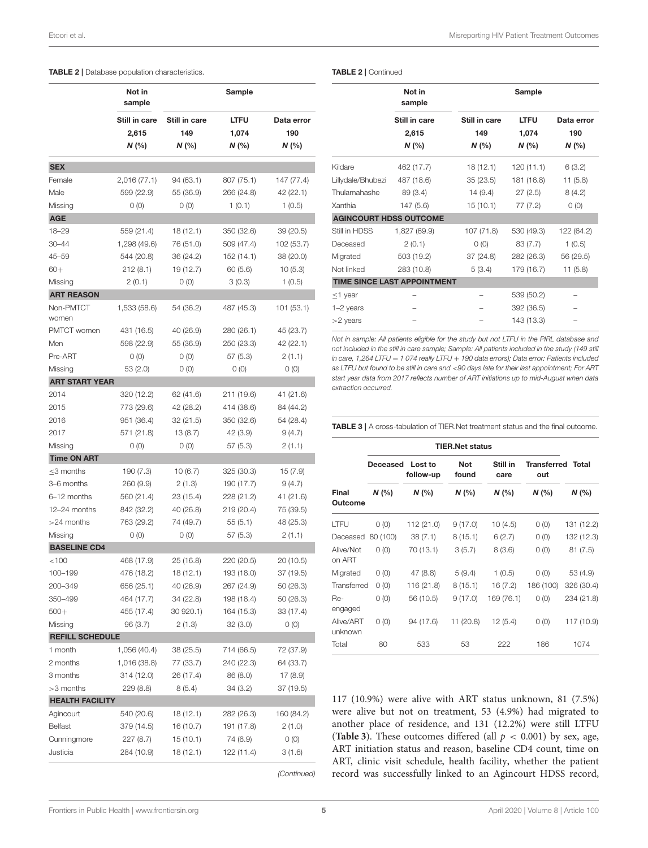#### <span id="page-4-0"></span>TABLE 2 | Database population characteristics.

|                        | Not in<br>sample       | Sample               |                      |                   |  |
|------------------------|------------------------|----------------------|----------------------|-------------------|--|
|                        | Still in care<br>2,615 | Still in care<br>149 | <b>LTFU</b><br>1,074 | Data error<br>190 |  |
|                        | N (%)                  | N(%                  | N(% )                | N (%)             |  |
| <b>SEX</b>             |                        |                      |                      |                   |  |
| Female                 | 2,016 (77.1)           | 94 (63.1)            | 807 (75.1)           | 147 (77.4)        |  |
| Male                   | 599 (22.9)             | 55 (36.9)            | 266 (24.8)           | 42 (22.1)         |  |
| Missing                | 0(0)                   | 0(0)                 | 1(0.1)               | 1(0.5)            |  |
| <b>AGE</b>             |                        |                      |                      |                   |  |
| $18 - 29$              | 559 (21.4)             | 18 (12.1)            | 350 (32.6)           | 39 (20.5)         |  |
| $30 - 44$              | 1,298 (49.6)           | 76 (51.0)            | 509 (47.4)           | 102 (53.7)        |  |
| 45–59                  | 544 (20.8)             | 36 (24.2)            | 152 (14.1)           | 38 (20.0)         |  |
| $60+$                  | 212(8.1)               | 19 (12.7)            | 60 (5.6)             | 10(5.3)           |  |
| Missing                | 2 (0.1)                | O(0)                 | 3(0.3)               | 1(0.5)            |  |
| <b>ART REASON</b>      |                        |                      |                      |                   |  |
| Non-PMTCT<br>women     | 1,533 (58.6)           | 54 (36.2)            | 487 (45.3)           | 101 (53.1)        |  |
| <b>PMTCT</b> women     | 431 (16.5)             | 40 (26.9)            | 280 (26.1)           | 45 (23.7)         |  |
| Men                    | 598 (22.9)             | 55 (36.9)            | 250 (23.3)           | 42 (22.1)         |  |
| Pre-ART                | O(0)                   | O(0)                 | 57(5.3)              | 2(1.1)            |  |
| Missing                | 53 (2.0)               | O(0)                 | 0(0)                 | 0(0)              |  |
| <b>ART START YEAR</b>  |                        |                      |                      |                   |  |
| 2014                   | 320 (12.2)             | 62 (41.6)            | 211 (19.6)           | 41 (21.6)         |  |
| 2015                   | 773 (29.6)             | 42 (28.2)            | 414 (38.6)           | 84 (44.2)         |  |
| 2016                   | 951 (36.4)             | 32 (21.5)            | 350 (32.6)           | 54 (28.4)         |  |
| 2017                   | 571 (21.8)             | 13(8.7)              | 42 (3.9)             | 9(4.7)            |  |
| Missing                | 0(0)                   | O(0)                 | 57 (5.3)             | 2 (1.1)           |  |
| <b>Time ON ART</b>     |                        |                      |                      |                   |  |
| $\leq$ 3 months        | 190 (7.3)              | 10(6.7)              | 325 (30.3)           | 15 (7.9)          |  |
| 3-6 months             | 260 (9.9)              | 2(1.3)               | 190 (17.7)           | 9(4.7)            |  |
| 6-12 months            | 560 (21.4)             | 23 (15.4)            | 228 (21.2)           | 41 (21.6)         |  |
| 12-24 months           | 842 (32.2)             | 40 (26.8)            | 219 (20.4)           | 75 (39.5)         |  |
| >24 months             | 763 (29.2)             | 74 (49.7)            | 55(5.1)              | 48 (25.3)         |  |
| Missing                | 0(0)                   | 0(0)                 | 57(5.3)              | 2(1.1)            |  |
| <b>BASELINE CD4</b>    |                        |                      |                      |                   |  |
| < 100                  | 468 (17.9)             | 25 (16.8)            | 220 (20.5)           | 20 (10.5)         |  |
| 100-199                | 476 (18.2)             | 18 (12.1)            | 193 (18.0)           | 37 (19.5)         |  |
| 200–349                | 656 (25.1)             | 40 (26.9)            | 267 (24.9)           | 50 (26.3)         |  |
| 350-499                | 464 (17.7)             | 34 (22.8)            | 198 (18.4)           | 50 (26.3)         |  |
| $500+$                 | 455 (17.4)             | 30 920.1)            | 164 (15.3)           | 33 (17.4)         |  |
| Missing                | 96(3.7)                | 2(1.3)               | 32 (3.0)             | 0(0)              |  |
| <b>REFILL SCHEDULE</b> |                        |                      |                      |                   |  |
| 1 month                | 1,056 (40.4)           | 38 (25.5)            | 714 (66.5)           | 72 (37.9)         |  |
| 2 months               | 1,016 (38.8)           | 77 (33.7)            | 240 (22.3)           | 64 (33.7)         |  |
| 3 months               | 314 (12.0)             | 26 (17.4)            | 86 (8.0)             | 17 (8.9)          |  |
| >3 months              | 229 (8.8)              | 8(5.4)               | 34 (3.2)             | 37 (19.5)         |  |
| <b>HEALTH FACILITY</b> |                        |                      |                      |                   |  |
| Agincourt              | 540 (20.6)             | 18 (12.1)            | 282 (26.3)           | 160 (84.2)        |  |
| <b>Belfast</b>         | 379 (14.5)             | 16 (10.7)            | 191 (17.8)           | 2(1.0)            |  |
| Cunningmore            | 227 (8.7)              | 15 (10.1)            | 74 (6.9)             | O(0)              |  |
| Justicia               | 284 (10.9)             | 18 (12.1)            | 122 (11.4)           | 3 (1.6)           |  |
|                        |                        |                      |                      | (Continued)       |  |

Etoori et al. Misreporting HIV Patient Treatment Outcomes

#### TABLE 2 | Continued

|                               | Not in<br>sample                   | Sample                      |                       |                          |  |  |
|-------------------------------|------------------------------------|-----------------------------|-----------------------|--------------------------|--|--|
|                               | Still in care<br>2,615<br>N(%      | Still in care<br>149<br>N(% | LTFU<br>1,074<br>N(%) | Data error<br>190<br>N(% |  |  |
| Kildare                       | 462 (17.7)                         | 18(12.1)                    | 120(11.1)             | 6(3.2)                   |  |  |
| Lillydale/Bhubezi             | 487 (18.6)                         | 35 (23.5)                   | 181 (16.8)            | 11(5.8)                  |  |  |
| Thulamahashe                  | 89 (3.4)                           | 14(9.4)                     | 27(2.5)               | 8(4.2)                   |  |  |
| Xanthia                       | 147 (5.6)                          | 15(10.1)                    | 77(7.2)               | 0(0)                     |  |  |
| <b>AGINCOURT HDSS OUTCOME</b> |                                    |                             |                       |                          |  |  |
| Still in HDSS                 | 1,827 (69.9)                       | 107 (71.8)                  | 530 (49.3)            | 122 (64.2)               |  |  |
| Deceased                      | 2(0.1)                             | O(0)                        | 83 (7.7)              | 1(0.5)                   |  |  |
| Migrated                      | 503 (19.2)                         | 37 (24.8)                   | 282 (26.3)            | 56 (29.5)                |  |  |
| Not linked                    | 283 (10.8)                         | 5(3.4)                      | 179 (16.7)            | 11(5.8)                  |  |  |
|                               | <b>TIME SINCE LAST APPOINTMENT</b> |                             |                       |                          |  |  |
| $\leq$ 1 year                 |                                    |                             | 539 (50.2)            |                          |  |  |
| $1-2$ years                   |                                    |                             | 392 (36.5)            |                          |  |  |
| $>2$ years                    |                                    |                             | 143 (13.3)            |                          |  |  |

*Not in sample: All patients eligible for the study but not LTFU in the PIRL database and not included in the still in care sample; Sample: All patients included in the study (149 still in care, 1,264 LTFU* = *1 074 really LTFU* + *190 data errors); Data error: Patients included as LTFU but found to be still in care and* <*90 days late for their last appointment; For ART start year data from 2017 reflects number of ART initiations up to mid-August when data extraction occurred.*

<span id="page-4-1"></span>TABLE 3 | A cross-tabulation of TIER.Net treatment status and the final outcome.

| <b>TIER.Net status</b>         |          |                      |                     |                  |                                 |            |
|--------------------------------|----------|----------------------|---------------------|------------------|---------------------------------|------------|
|                                | Deceased | Lost to<br>follow-up | <b>Not</b><br>found | Still in<br>care | <b>Transferred Total</b><br>out |            |
| <b>Final</b><br><b>Outcome</b> | N(%      | N(%                  | N(%                 | N(%              | N (%)                           | N (%)      |
| LTFU                           | O(0)     | 112 (21.0)           | 9(17.0)             | 10(4.5)          | O(0)                            | 131 (12.2) |
| Deceased                       | 80 (100) | 38 (7.1)             | 8(15.1)             | 6(2.7)           | O(0)                            | 132 (12.3) |
| Alive/Not<br>on ART            | O(0)     | 70 (13.1)            | 3(5.7)              | 8(3.6)           | O(0)                            | 81(7.5)    |
| Migrated                       | O(0)     | 47 (8.8)             | 5(9.4)              | 1(0.5)           | O(0)                            | 53 (4.9)   |
| Transferred                    | O(0)     | 116 (21.8)           | 8(15.1)             | 16 (7.2)         | 186 (100)                       | 326 (30.4) |
| Re-<br>engaged                 | 0(0)     | 56 (10.5)            | 9(17.0)             | 169 (76.1)       | O(0)                            | 234 (21.8) |
| Alive/ART<br>unknown           | O(0)     | 94 (17.6)            | 11 (20.8)           | 12(5.4)          | O(0)                            | 117 (10.9) |
| Total                          | 80       | 533                  | 53                  | 222              | 186                             | 1074       |

117 (10.9%) were alive with ART status unknown, 81 (7.5%) were alive but not on treatment, 53 (4.9%) had migrated to another place of residence, and 131 (12.2%) were still LTFU (**[Table 3](#page-4-1)**). These outcomes differed (all  $p < 0.001$ ) by sex, age, ART initiation status and reason, baseline CD4 count, time on ART, clinic visit schedule, health facility, whether the patient record was successfully linked to an Agincourt HDSS record,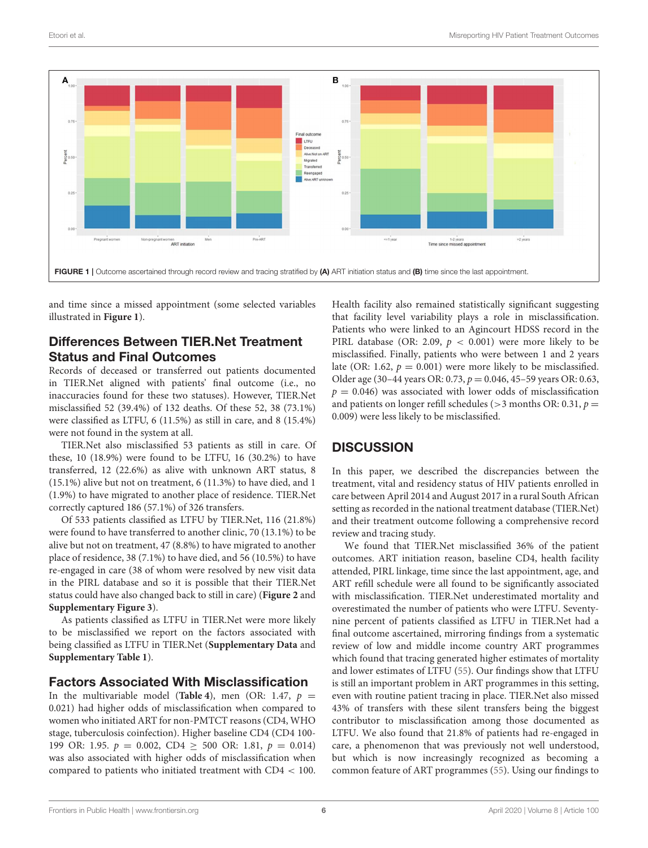

<span id="page-5-0"></span>and time since a missed appointment (some selected variables illustrated in **[Figure 1](#page-5-0)**).

# Differences Between TIER.Net Treatment Status and Final Outcomes

Records of deceased or transferred out patients documented in TIER.Net aligned with patients' final outcome (i.e., no inaccuracies found for these two statuses). However, TIER.Net misclassified 52 (39.4%) of 132 deaths. Of these 52, 38 (73.1%) were classified as LTFU, 6 (11.5%) as still in care, and 8 (15.4%) were not found in the system at all.

TIER.Net also misclassified 53 patients as still in care. Of these, 10 (18.9%) were found to be LTFU, 16 (30.2%) to have transferred, 12 (22.6%) as alive with unknown ART status, 8 (15.1%) alive but not on treatment, 6 (11.3%) to have died, and 1 (1.9%) to have migrated to another place of residence. TIER.Net correctly captured 186 (57.1%) of 326 transfers.

Of 533 patients classified as LTFU by TIER.Net, 116 (21.8%) were found to have transferred to another clinic, 70 (13.1%) to be alive but not on treatment, 47 (8.8%) to have migrated to another place of residence, 38 (7.1%) to have died, and 56 (10.5%) to have re-engaged in care (38 of whom were resolved by new visit data in the PIRL database and so it is possible that their TIER.Net status could have also changed back to still in care) (**[Figure 2](#page-6-0)** and **[Supplementary Figure 3](#page-8-18)**).

As patients classified as LTFU in TIER.Net were more likely to be misclassified we report on the factors associated with being classified as LTFU in TIER.Net (**[Supplementary Data](#page-8-18)** and **[Supplementary Table 1](#page-8-18)**).

## Factors Associated With Misclassification

In the multivariable model (**[Table 4](#page-7-0)**), men (OR: 1.47,  $p =$ 0.021) had higher odds of misclassification when compared to women who initiated ART for non-PMTCT reasons (CD4, WHO stage, tuberculosis coinfection). Higher baseline CD4 (CD4 100- 199 OR: 1.95.  $p = 0.002$ , CD4  $\geq$  500 OR: 1.81,  $p = 0.014$ ) was also associated with higher odds of misclassification when compared to patients who initiated treatment with CD4 < 100.

Health facility also remained statistically significant suggesting that facility level variability plays a role in misclassification. Patients who were linked to an Agincourt HDSS record in the PIRL database (OR: 2.09,  $p < 0.001$ ) were more likely to be misclassified. Finally, patients who were between 1 and 2 years late (OR: 1.62,  $p = 0.001$ ) were more likely to be misclassified. Older age (30–44 years OR: 0.73,  $p = 0.046$ , 45–59 years OR: 0.63,  $p = 0.046$ ) was associated with lower odds of misclassification and patients on longer refill schedules ( $>$ 3 months OR: 0.31,  $p =$ 0.009) were less likely to be misclassified.

# **DISCUSSION**

In this paper, we described the discrepancies between the treatment, vital and residency status of HIV patients enrolled in care between April 2014 and August 2017 in a rural South African setting as recorded in the national treatment database (TIER.Net) and their treatment outcome following a comprehensive record review and tracing study.

We found that TIER.Net misclassified 36% of the patient outcomes. ART initiation reason, baseline CD4, health facility attended, PIRL linkage, time since the last appointment, age, and ART refill schedule were all found to be significantly associated with misclassification. TIER.Net underestimated mortality and overestimated the number of patients who were LTFU. Seventynine percent of patients classified as LTFU in TIER.Net had a final outcome ascertained, mirroring findings from a systematic review of low and middle income country ART programmes which found that tracing generated higher estimates of mortality and lower estimates of LTFU [\(55\)](#page-9-27). Our findings show that LTFU is still an important problem in ART programmes in this setting, even with routine patient tracing in place. TIER.Net also missed 43% of transfers with these silent transfers being the biggest contributor to misclassification among those documented as LTFU. We also found that 21.8% of patients had re-engaged in care, a phenomenon that was previously not well understood, but which is now increasingly recognized as becoming a common feature of ART programmes [\(55\)](#page-9-27). Using our findings to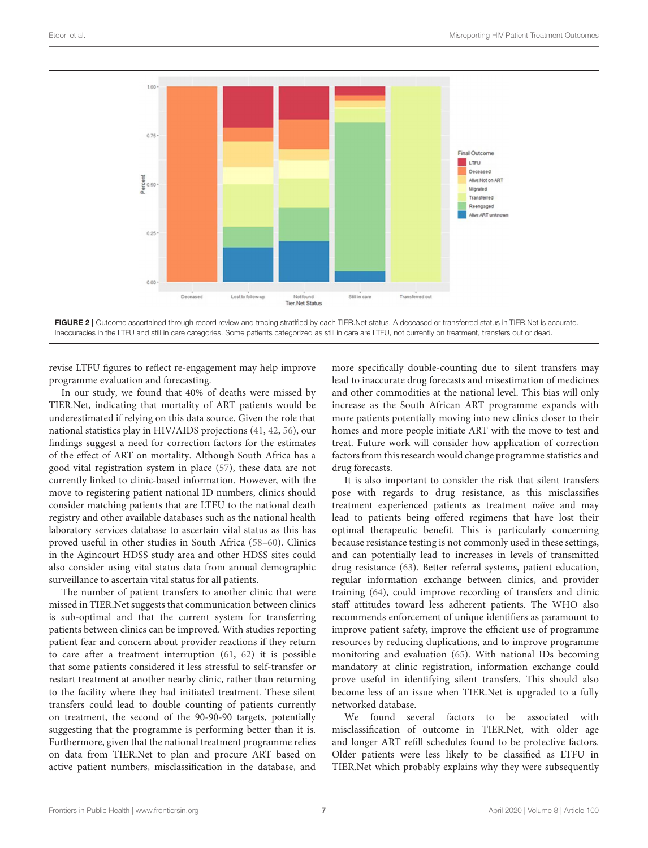

<span id="page-6-0"></span>revise LTFU figures to reflect re-engagement may help improve programme evaluation and forecasting.

In our study, we found that 40% of deaths were missed by TIER.Net, indicating that mortality of ART patients would be underestimated if relying on this data source. Given the role that national statistics play in HIV/AIDS projections [\(41,](#page-9-14) [42,](#page-9-15) [56\)](#page-9-28), our findings suggest a need for correction factors for the estimates of the effect of ART on mortality. Although South Africa has a good vital registration system in place [\(57\)](#page-9-29), these data are not currently linked to clinic-based information. However, with the move to registering patient national ID numbers, clinics should consider matching patients that are LTFU to the national death registry and other available databases such as the national health laboratory services database to ascertain vital status as this has proved useful in other studies in South Africa [\(58–](#page-9-30)[60\)](#page-10-0). Clinics in the Agincourt HDSS study area and other HDSS sites could also consider using vital status data from annual demographic surveillance to ascertain vital status for all patients.

The number of patient transfers to another clinic that were missed in TIER.Net suggests that communication between clinics is sub-optimal and that the current system for transferring patients between clinics can be improved. With studies reporting patient fear and concern about provider reactions if they return to care after a treatment interruption [\(61,](#page-10-1) [62\)](#page-10-2) it is possible that some patients considered it less stressful to self-transfer or restart treatment at another nearby clinic, rather than returning to the facility where they had initiated treatment. These silent transfers could lead to double counting of patients currently on treatment, the second of the 90-90-90 targets, potentially suggesting that the programme is performing better than it is. Furthermore, given that the national treatment programme relies on data from TIER.Net to plan and procure ART based on active patient numbers, misclassification in the database, and

more specifically double-counting due to silent transfers may lead to inaccurate drug forecasts and misestimation of medicines and other commodities at the national level. This bias will only increase as the South African ART programme expands with more patients potentially moving into new clinics closer to their homes and more people initiate ART with the move to test and treat. Future work will consider how application of correction factors from this research would change programme statistics and drug forecasts.

It is also important to consider the risk that silent transfers pose with regards to drug resistance, as this misclassifies treatment experienced patients as treatment naïve and may lead to patients being offered regimens that have lost their optimal therapeutic benefit. This is particularly concerning because resistance testing is not commonly used in these settings, and can potentially lead to increases in levels of transmitted drug resistance [\(63\)](#page-10-3). Better referral systems, patient education, regular information exchange between clinics, and provider training [\(64\)](#page-10-4), could improve recording of transfers and clinic staff attitudes toward less adherent patients. The WHO also recommends enforcement of unique identifiers as paramount to improve patient safety, improve the efficient use of programme resources by reducing duplications, and to improve programme monitoring and evaluation [\(65\)](#page-10-5). With national IDs becoming mandatory at clinic registration, information exchange could prove useful in identifying silent transfers. This should also become less of an issue when TIER.Net is upgraded to a fully networked database.

We found several factors to be associated with misclassification of outcome in TIER.Net, with older age and longer ART refill schedules found to be protective factors. Older patients were less likely to be classified as LTFU in TIER.Net which probably explains why they were subsequently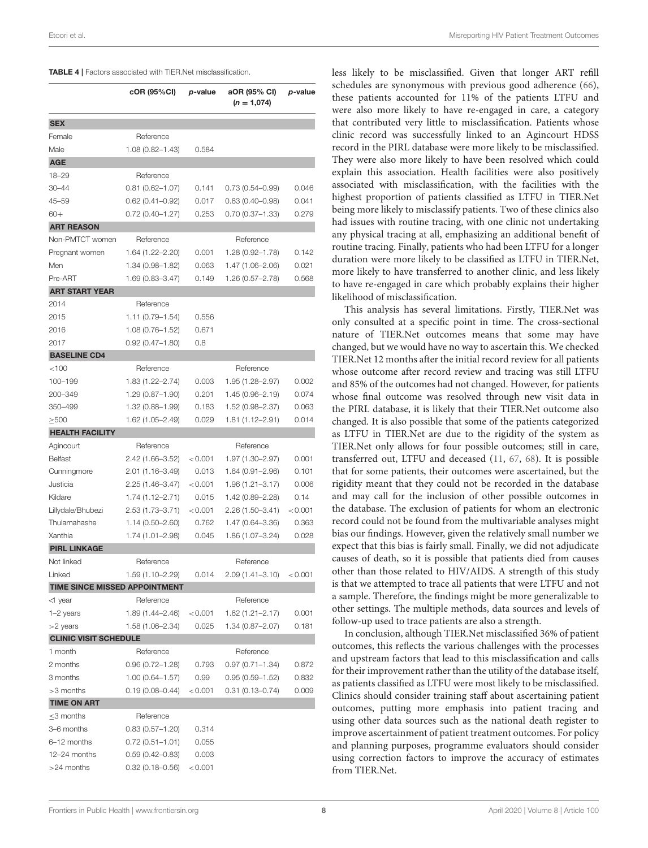<span id="page-7-0"></span>

|  | TABLE 4   Factors associated with TIER. Net misclassification. |  |
|--|----------------------------------------------------------------|--|
|--|----------------------------------------------------------------|--|

|                               | cOR (95%CI)         | p-value | aOR (95% CI)<br>$(n = 1,074)$ | p-value |
|-------------------------------|---------------------|---------|-------------------------------|---------|
| <b>SEX</b>                    |                     |         |                               |         |
| Female                        | Reference           |         |                               |         |
| Male                          | $1.08(0.82 - 1.43)$ | 0.584   |                               |         |
| <b>AGE</b>                    |                     |         |                               |         |
| $18 - 29$                     | Reference           |         |                               |         |
| $30 - 44$                     | $0.81(0.62 - 1.07)$ | 0.141   | $0.73(0.54 - 0.99)$           | 0.046   |
| $45 - 59$                     | $0.62(0.41 - 0.92)$ | 0.017   | $0.63(0.40 - 0.98)$           | 0.041   |
| $60+$                         | $0.72(0.40 - 1.27)$ | 0.253   | $0.70(0.37 - 1.33)$           | 0.279   |
| <b>ART REASON</b>             |                     |         |                               |         |
| Non-PMTCT women               | Reference           |         | Reference                     |         |
| Pregnant women                | 1.64 (1.22–2.20)    | 0.001   | 1.28 (0.92-1.78)              | 0.142   |
| Men                           | 1.34 (0.98-1.82)    | 0.063   | 1.47 (1.06-2.06)              | 0.021   |
| Pre-ART                       | 1.69 (0.83-3.47)    | 0.149   | 1.26 (0.57-2.78)              | 0.568   |
| <b>ART START YEAR</b>         |                     |         |                               |         |
| 2014                          | Reference           |         |                               |         |
| 2015                          | 1.11 (0.79-1.54)    | 0.556   |                               |         |
| 2016                          | 1.08 (0.76-1.52)    | 0.671   |                               |         |
| 2017                          | $0.92(0.47 - 1.80)$ | 0.8     |                               |         |
| <b>BASELINE CD4</b>           |                     |         |                               |         |
| <100                          | Reference           |         | Reference                     |         |
| 100-199                       | 1.83 (1.22-2.74)    | 0.003   | 1.95 (1.28–2.97)              | 0.002   |
| 200-349                       | 1.29 (0.87-1.90)    | 0.201   | 1.45 (0.96-2.19)              | 0.074   |
| 350-499                       | 1.32 (0.88-1.99)    | 0.183   | 1.52 (0.98-2.37)              | 0.063   |
| $\geq$ 500                    | 1.62 (1.05-2.49)    | 0.029   | 1.81 (1.12–2.91)              | 0.014   |
| <b>HEALTH FACILITY</b>        |                     |         |                               |         |
| Agincourt                     | Reference           |         | Reference                     |         |
| <b>Belfast</b>                | 2.42 (1.66–3.52)    | < 0.001 | 1.97 (1.30-2.97)              | 0.001   |
| Cunningmore                   | 2.01 (1.16–3.49)    | 0.013   | 1.64 (0.91-2.96)              | 0.101   |
| Justicia                      | 2.25 (1.46-3.47)    | < 0.001 | 1.96 (1.21-3.17)              | 0.006   |
| Kildare                       | $1.74(1.12 - 2.71)$ | 0.015   | 1.42 (0.89-2.28)              | 0.14    |
| Lillydale/Bhubezi             | 2.53 (1.73–3.71)    | < 0.001 | $2.26(1.50-3.41)$             | < 0.001 |
| Thulamahashe                  | $1.14(0.50 - 2.60)$ | 0.762   | 1.47 (0.64-3.36)              | 0.363   |
| Xanthia                       | 1.74 (1.01–2.98)    | 0.045   | 1.86 (1.07-3.24)              | 0.028   |
| <b>PIRL LINKAGE</b>           |                     |         |                               |         |
| Not linked                    | Reference           |         | Reference                     |         |
| Linked                        | 1.59 (1.10-2.29)    | 0.014   | 2.09 (1.41-3.10)              | < 0.001 |
| TIME SINCE MISSED APPOINTMENT |                     |         |                               |         |
| <1 year                       | Reference           |         | Reference                     |         |
| $1-2$ years                   | 1.89 (1.44-2.46)    | < 0.001 | 1.62 (1.21-2.17)              | 0.001   |
| $>2$ years                    | 1.58 (1.06-2.34)    | 0.025   | 1.34 (0.87-2.07)              | 0.181   |
| <b>CLINIC VISIT SCHEDULE</b>  |                     |         |                               |         |
| 1 month                       | Reference           |         | Reference                     |         |
| 2 months                      | $0.96(0.72 - 1.28)$ | 0.793   | $0.97(0.71 - 1.34)$           | 0.872   |
| 3 months                      | $1.00(0.64 - 1.57)$ | 0.99    | $0.95(0.59 - 1.52)$           | 0.832   |
| >3 months                     | $0.19(0.08 - 0.44)$ | < 0.001 | $0.31(0.13 - 0.74)$           | 0.009   |
| <b>TIME ON ART</b>            |                     |         |                               |         |
| $\leq$ 3 months               | Reference           |         |                               |         |
| 3-6 months                    | $0.83(0.57 - 1.20)$ | 0.314   |                               |         |
| 6-12 months                   | $0.72(0.51 - 1.01)$ | 0.055   |                               |         |
| 12-24 months                  | $0.59(0.42 - 0.83)$ | 0.003   |                               |         |
| >24 months                    | $0.32(0.18 - 0.56)$ | < 0.001 |                               |         |

less likely to be misclassified. Given that longer ART refill schedules are synonymous with previous good adherence [\(66\)](#page-10-6), these patients accounted for 11% of the patients LTFU and were also more likely to have re-engaged in care, a category that contributed very little to misclassification. Patients whose clinic record was successfully linked to an Agincourt HDSS record in the PIRL database were more likely to be misclassified. They were also more likely to have been resolved which could explain this association. Health facilities were also positively associated with misclassification, with the facilities with the highest proportion of patients classified as LTFU in TIER.Net being more likely to misclassify patients. Two of these clinics also had issues with routine tracing, with one clinic not undertaking any physical tracing at all, emphasizing an additional benefit of routine tracing. Finally, patients who had been LTFU for a longer duration were more likely to be classified as LTFU in TIER.Net, more likely to have transferred to another clinic, and less likely to have re-engaged in care which probably explains their higher likelihood of misclassification.

This analysis has several limitations. Firstly, TIER.Net was only consulted at a specific point in time. The cross-sectional nature of TIER.Net outcomes means that some may have changed, but we would have no way to ascertain this. We checked TIER.Net 12 months after the initial record review for all patients whose outcome after record review and tracing was still LTFU and 85% of the outcomes had not changed. However, for patients whose final outcome was resolved through new visit data in the PIRL database, it is likely that their TIER.Net outcome also changed. It is also possible that some of the patients categorized as LTFU in TIER.Net are due to the rigidity of the system as TIER.Net only allows for four possible outcomes; still in care, transferred out, LTFU and deceased [\(11,](#page-8-8) [67,](#page-10-7) [68\)](#page-10-8). It is possible that for some patients, their outcomes were ascertained, but the rigidity meant that they could not be recorded in the database and may call for the inclusion of other possible outcomes in the database. The exclusion of patients for whom an electronic record could not be found from the multivariable analyses might bias our findings. However, given the relatively small number we expect that this bias is fairly small. Finally, we did not adjudicate causes of death, so it is possible that patients died from causes other than those related to HIV/AIDS. A strength of this study is that we attempted to trace all patients that were LTFU and not a sample. Therefore, the findings might be more generalizable to other settings. The multiple methods, data sources and levels of follow-up used to trace patients are also a strength.

In conclusion, although TIER.Net misclassified 36% of patient outcomes, this reflects the various challenges with the processes and upstream factors that lead to this misclassification and calls for their improvement rather than the utility of the database itself, as patients classified as LTFU were most likely to be misclassified. Clinics should consider training staff about ascertaining patient outcomes, putting more emphasis into patient tracing and using other data sources such as the national death register to improve ascertainment of patient treatment outcomes. For policy and planning purposes, programme evaluators should consider using correction factors to improve the accuracy of estimates from TIER.Net.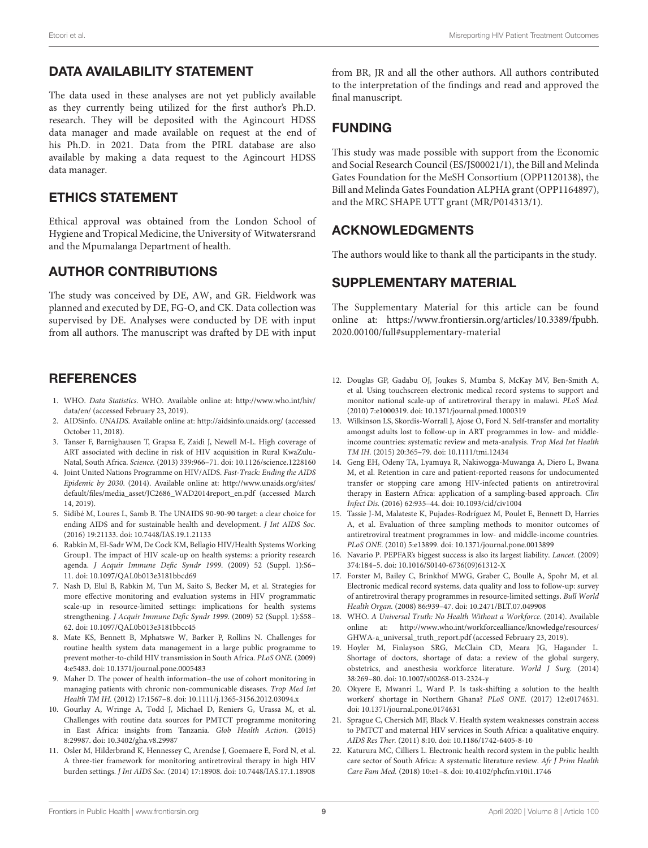## DATA AVAILABILITY STATEMENT

The data used in these analyses are not yet publicly available as they currently being utilized for the first author's Ph.D. research. They will be deposited with the Agincourt HDSS data manager and made available on request at the end of his Ph.D. in 2021. Data from the PIRL database are also available by making a data request to the Agincourt HDSS data manager.

## ETHICS STATEMENT

Ethical approval was obtained from the London School of Hygiene and Tropical Medicine, the University of Witwatersrand and the Mpumalanga Department of health.

#### AUTHOR CONTRIBUTIONS

The study was conceived by DE, AW, and GR. Fieldwork was planned and executed by DE, FG-O, and CK. Data collection was supervised by DE. Analyses were conducted by DE with input from all authors. The manuscript was drafted by DE with input

## **REFERENCES**

- <span id="page-8-0"></span>1. WHO. Data Statistics. WHO. Available online at: [http://www.who.int/hiv/](http://www.who.int/hiv/data/en/) [data/en/](http://www.who.int/hiv/data/en/) (accessed February 23, 2019).
- <span id="page-8-1"></span>2. AIDSinfo. UNAIDS. Available online at:<http://aidsinfo.unaids.org/> (accessed October 11, 2018).
- <span id="page-8-2"></span>3. Tanser F, Barnighausen T, Grapsa E, Zaidi J, Newell M-L. High coverage of ART associated with decline in risk of HIV acquisition in Rural KwaZulu-Natal, South Africa. Science. (2013) 339:966–71. doi: [10.1126/science.1228160](https://doi.org/10.1126/science.1228160)
- 4. Joint United Nations Programme on HIV/AIDS. Fast-Track: Ending the AIDS Epidemic by 2030. (2014). Available online at: [http://www.unaids.org/sites/](http://www.unaids.org/sites/default/files/media_asset/JC2686_WAD2014report_en.pdf) [default/files/media\\_asset/JC2686\\_WAD2014report\\_en.pdf](http://www.unaids.org/sites/default/files/media_asset/JC2686_WAD2014report_en.pdf) (accessed March 14, 2019).
- <span id="page-8-3"></span>5. Sidibé M, Loures L, Samb B. The UNAIDS 90-90-90 target: a clear choice for ending AIDS and for sustainable health and development. J Int AIDS Soc. (2016) 19:21133. doi: [10.7448/IAS.19.1.21133](https://doi.org/10.7448/IAS.19.1.21133)
- <span id="page-8-4"></span>6. Rabkin M, El-Sadr WM, De Cock KM, Bellagio HIV/Health Systems Working Group1. The impact of HIV scale-up on health systems: a priority research agenda. J Acquir Immune Defic Syndr 1999. (2009) 52 (Suppl. 1):S6– 11. doi: [10.1097/QAI.0b013e3181bbcd69](https://doi.org/10.1097/QAI.0b013e3181bbcd69)
- <span id="page-8-12"></span>7. Nash D, Elul B, Rabkin M, Tun M, Saito S, Becker M, et al. Strategies for more effective monitoring and evaluation systems in HIV programmatic scale-up in resource-limited settings: implications for health systems strengthening. J Acquir Immune Defic Syndr 1999. (2009) 52 (Suppl. 1):S58– 62. doi: [10.1097/QAI.0b013e3181bbcc45](https://doi.org/10.1097/QAI.0b013e3181bbcc45)
- <span id="page-8-5"></span>8. Mate KS, Bennett B, Mphatswe W, Barker P, Rollins N. Challenges for routine health system data management in a large public programme to prevent mother-to-child HIV transmission in South Africa. PLoS ONE. (2009) 4:e5483. doi: [10.1371/journal.pone.0005483](https://doi.org/10.1371/journal.pone.0005483)
- <span id="page-8-6"></span>9. Maher D. The power of health information–the use of cohort monitoring in managing patients with chronic non-communicable diseases. Trop Med Int Health TM IH. (2012) 17:1567–8. doi: [10.1111/j.1365-3156.2012.03094.x](https://doi.org/10.1111/j.1365-3156.2012.03094.x)
- <span id="page-8-7"></span>10. Gourlay A, Wringe A, Todd J, Michael D, Reniers G, Urassa M, et al. Challenges with routine data sources for PMTCT programme monitoring in East Africa: insights from Tanzania. Glob Health Action. (2015) 8:29987. doi: [10.3402/gha.v8.29987](https://doi.org/10.3402/gha.v8.29987)
- <span id="page-8-8"></span>11. Osler M, Hilderbrand K, Hennessey C, Arendse J, Goemaere E, Ford N, et al. A three-tier framework for monitoring antiretroviral therapy in high HIV burden settings. J Int AIDS Soc. (2014) 17:18908. doi: [10.7448/IAS.17.1.18908](https://doi.org/10.7448/IAS.17.1.18908)

from BR, JR and all the other authors. All authors contributed to the interpretation of the findings and read and approved the final manuscript.

# FUNDING

This study was made possible with support from the Economic and Social Research Council (ES/JS00021/1), the Bill and Melinda Gates Foundation for the MeSH Consortium (OPP1120138), the Bill and Melinda Gates Foundation ALPHA grant (OPP1164897), and the MRC SHAPE UTT grant (MR/P014313/1).

## ACKNOWLEDGMENTS

The authors would like to thank all the participants in the study.

# SUPPLEMENTARY MATERIAL

<span id="page-8-18"></span>The Supplementary Material for this article can be found [online at: https://www.frontiersin.org/articles/10.3389/fpubh.](https://www.frontiersin.org/articles/10.3389/fpubh.2020.00100/full#supplementary-material) 2020.00100/full#supplementary-material

- <span id="page-8-9"></span>12. Douglas GP, Gadabu OJ, Joukes S, Mumba S, McKay MV, Ben-Smith A, et al. Using touchscreen electronic medical record systems to support and monitor national scale-up of antiretroviral therapy in malawi. PLoS Med. (2010) 7:e1000319. doi: [10.1371/journal.pmed.1000319](https://doi.org/10.1371/journal.pmed.1000319)
- <span id="page-8-10"></span>13. Wilkinson LS, Skordis-Worrall J, Ajose O, Ford N. Self-transfer and mortality amongst adults lost to follow-up in ART programmes in low- and middleincome countries: systematic review and meta-analysis. Trop Med Int Health TM IH. (2015) 20:365–79. doi: [10.1111/tmi.12434](https://doi.org/10.1111/tmi.12434)
- <span id="page-8-11"></span>14. Geng EH, Odeny TA, Lyamuya R, Nakiwogga-Muwanga A, Diero L, Bwana M, et al. Retention in care and patient-reported reasons for undocumented transfer or stopping care among HIV-infected patients on antiretroviral therapy in Eastern Africa: application of a sampling-based approach. Clin Infect Dis. (2016) 62:935–44. doi: [10.1093/cid/civ1004](https://doi.org/10.1093/cid/civ1004)
- <span id="page-8-13"></span>15. Tassie J-M, Malateste K, Pujades-Rodríguez M, Poulet E, Bennett D, Harries A, et al. Evaluation of three sampling methods to monitor outcomes of antiretroviral treatment programmes in low- and middle-income countries. PLoS ONE. (2010) 5:e13899. doi: [10.1371/journal.pone.0013899](https://doi.org/10.1371/journal.pone.0013899)
- 16. Navario P. PEPFAR's biggest success is also its largest liability. Lancet. (2009) 374:184–5. doi: [10.1016/S0140-6736\(09\)61312-X](https://doi.org/10.1016/S0140-6736(09)61312-X)
- <span id="page-8-14"></span>17. Forster M, Bailey C, Brinkhof MWG, Graber C, Boulle A, Spohr M, et al. Electronic medical record systems, data quality and loss to follow-up: survey of antiretroviral therapy programmes in resource-limited settings. Bull World Health Organ. (2008) 86:939–47. doi: [10.2471/BLT.07.049908](https://doi.org/10.2471/BLT.07.049908)
- <span id="page-8-15"></span>18. WHO. A Universal Truth: No Health Without a Workforce. (2014). Available online at: [http://www.who.int/workforcealliance/knowledge/resources/](http://www.who.int/workforcealliance/knowledge/resources/GHWA-a_universal_truth_report.pdf) [GHWA-a\\_universal\\_truth\\_report.pdf](http://www.who.int/workforcealliance/knowledge/resources/GHWA-a_universal_truth_report.pdf) (accessed February 23, 2019).
- 19. Hoyler M, Finlayson SRG, McClain CD, Meara JG, Hagander L. Shortage of doctors, shortage of data: a review of the global surgery, obstetrics, and anesthesia workforce literature. World J Surg. (2014) 38:269–80. doi: [10.1007/s00268-013-2324-y](https://doi.org/10.1007/s00268-013-2324-y)
- 20. Okyere E, Mwanri L, Ward P. Is task-shifting a solution to the health workers' shortage in Northern Ghana? PLoS ONE. (2017) 12:e0174631. doi: [10.1371/journal.pone.0174631](https://doi.org/10.1371/journal.pone.0174631)
- <span id="page-8-16"></span>21. Sprague C, Chersich MF, Black V. Health system weaknesses constrain access to PMTCT and maternal HIV services in South Africa: a qualitative enquiry. AIDS Res Ther. (2011) 8:10. doi: [10.1186/1742-6405-8-10](https://doi.org/10.1186/1742-6405-8-10)
- <span id="page-8-17"></span>22. Katurura MC, Cilliers L. Electronic health record system in the public health care sector of South Africa: A systematic literature review. Afr J Prim Health Care Fam Med. (2018) 10:e1–8. doi: [10.4102/phcfm.v10i1.1746](https://doi.org/10.4102/phcfm.v10i1.1746)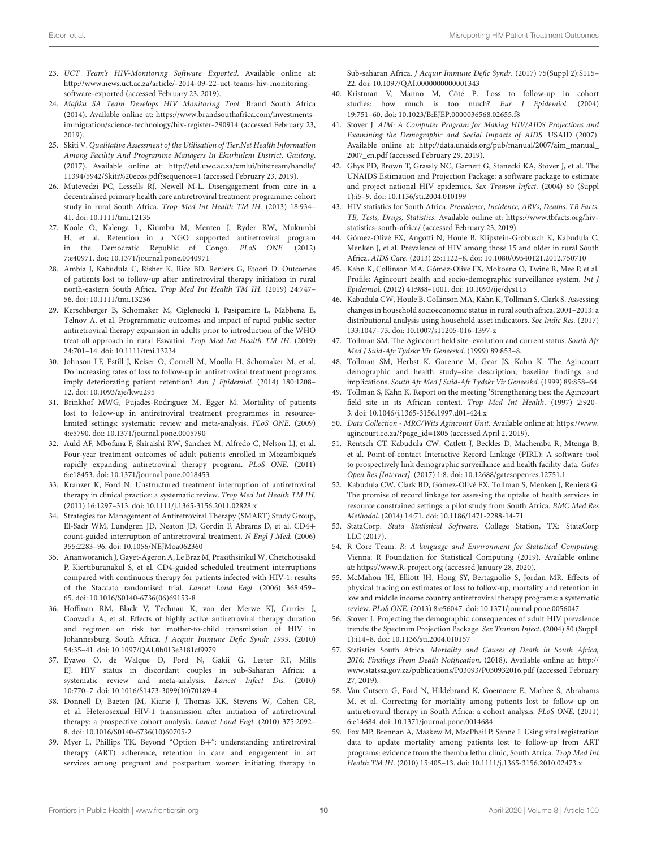- <span id="page-9-0"></span>23. UCT Team's HIV-Monitoring Software Exported. Available online at: [http://www.news.uct.ac.za/article/-2014-09-22-uct-teams-hiv-monitoring](http://www.news.uct.ac.za/article/-2014-09-22-uct-teams-hiv-monitoring-software-exported)[software-exported](http://www.news.uct.ac.za/article/-2014-09-22-uct-teams-hiv-monitoring-software-exported) (accessed February 23, 2019).
- <span id="page-9-1"></span>24. Mafika SA Team Develops HIV Monitoring Tool. Brand South Africa (2014). Available online at: [https://www.brandsouthafrica.com/investments](https://www.brandsouthafrica.com/investments-immigration/science-technology/hiv-register-290914)[immigration/science-technology/hiv-register-290914](https://www.brandsouthafrica.com/investments-immigration/science-technology/hiv-register-290914) (accessed February 23, 2019).
- <span id="page-9-2"></span>25. Skiti V. Qualitative Assessment of the Utilisation of Tier.Net Health Information Among Facility And Programme Managers In Ekurhuleni District, Gauteng. (2017). Available online at: [http://etd.uwc.ac.za/xmlui/bitstream/handle/](http://etd.uwc.ac.za/xmlui/bitstream/handle/11394/5942/Skiti%20ecos.pdf?sequence=1) [11394/5942/Skiti%20ecos.pdf?sequence=1](http://etd.uwc.ac.za/xmlui/bitstream/handle/11394/5942/Skiti%20ecos.pdf?sequence=1) (accessed February 23, 2019).
- <span id="page-9-3"></span>26. Mutevedzi PC, Lessells RJ, Newell M-L. Disengagement from care in a decentralised primary health care antiretroviral treatment programme: cohort study in rural South Africa. Trop Med Int Health TM IH. (2013) 18:934– 41. doi: [10.1111/tmi.12135](https://doi.org/10.1111/tmi.12135)
- 27. Koole O, Kalenga L, Kiumbu M, Menten J, Ryder RW, Mukumbi H, et al. Retention in a NGO supported antiretroviral program in the Democratic Republic of Congo. PLoS ONE. (2012) 7:e40971. doi: [10.1371/journal.pone.0040971](https://doi.org/10.1371/journal.pone.0040971)
- <span id="page-9-4"></span>28. Ambia J, Kabudula C, Risher K, Rice BD, Reniers G, Etoori D. Outcomes of patients lost to follow-up after antiretroviral therapy initiation in rural north-eastern South Africa. Trop Med Int Health TM IH. (2019) 24:747– 56. doi: [10.1111/tmi.13236](https://doi.org/10.1111/tmi.13236)
- <span id="page-9-5"></span>29. Kerschberger B, Schomaker M, Ciglenecki I, Pasipamire L, Mabhena E, Telnov A, et al. Programmatic outcomes and impact of rapid public sector antiretroviral therapy expansion in adults prior to introduction of the WHO treat-all approach in rural Eswatini. Trop Med Int Health TM IH. (2019) 24:701–14. doi: [10.1111/tmi.13234](https://doi.org/10.1111/tmi.13234)
- <span id="page-9-6"></span>30. Johnson LF, Estill J, Keiser O, Cornell M, Moolla H, Schomaker M, et al. Do increasing rates of loss to follow-up in antiretroviral treatment programs imply deteriorating patient retention? Am J Epidemiol. (2014) 180:1208– 12. doi: [10.1093/aje/kwu295](https://doi.org/10.1093/aje/kwu295)
- <span id="page-9-7"></span>31. Brinkhof MWG, Pujades-Rodriguez M, Egger M. Mortality of patients lost to follow-up in antiretroviral treatment programmes in resourcelimited settings: systematic review and meta-analysis. PLoS ONE. (2009) 4:e5790. doi: [10.1371/journal.pone.0005790](https://doi.org/10.1371/journal.pone.0005790)
- <span id="page-9-8"></span>32. Auld AF, Mbofana F, Shiraishi RW, Sanchez M, Alfredo C, Nelson LJ, et al. Four-year treatment outcomes of adult patients enrolled in Mozambique's rapidly expanding antiretroviral therapy program. PLoS ONE. (2011) 6:e18453. doi: [10.1371/journal.pone.0018453](https://doi.org/10.1371/journal.pone.0018453)
- <span id="page-9-9"></span>33. Kranzer K, Ford N. Unstructured treatment interruption of antiretroviral therapy in clinical practice: a systematic review. Trop Med Int Health TM IH. (2011) 16:1297–313. doi: [10.1111/j.1365-3156.2011.02828.x](https://doi.org/10.1111/j.1365-3156.2011.02828.x)
- 34. Strategies for Management of Antiretroviral Therapy (SMART) Study Group, El-Sadr WM, Lundgren JD, Neaton JD, Gordin F, Abrams D, et al. CD4+ count-guided interruption of antiretroviral treatment. N Engl J Med. (2006) 355:2283–96. doi: [10.1056/NEJMoa062360](https://doi.org/10.1056/NEJMoa062360)
- <span id="page-9-10"></span>35. Ananworanich J, Gayet-Ageron A, Le Braz M, Prasithsirikul W, Chetchotisakd P, Kiertiburanakul S, et al. CD4-guided scheduled treatment interruptions compared with continuous therapy for patients infected with HIV-1: results of the Staccato randomised trial. Lancet Lond Engl. (2006) 368:459– 65. doi: [10.1016/S0140-6736\(06\)69153-8](https://doi.org/10.1016/S0140-6736(06)69153-8)
- <span id="page-9-11"></span>36. Hoffman RM, Black V, Technau K, van der Merwe KJ, Currier J, Coovadia A, et al. Effects of highly active antiretroviral therapy duration and regimen on risk for mother-to-child transmission of HIV in Johannesburg, South Africa. J Acquir Immune Defic Syndr 1999. (2010) 54:35–41. doi: [10.1097/QAI.0b013e3181cf9979](https://doi.org/10.1097/QAI.0b013e3181cf9979)
- 37. Eyawo O, de Walque D, Ford N, Gakii G, Lester RT, Mills EJ. HIV status in discordant couples in sub-Saharan Africa: a systematic review and meta-analysis. Lancet Infect Dis. (2010) 10:770–7. doi: [10.1016/S1473-3099\(10\)70189-4](https://doi.org/10.1016/S1473-3099(10)70189-4)
- 38. Donnell D, Baeten JM, Kiarie J, Thomas KK, Stevens W, Cohen CR, et al. Heterosexual HIV-1 transmission after initiation of antiretroviral therapy: a prospective cohort analysis. Lancet Lond Engl. (2010) 375:2092– 8. doi: [10.1016/S0140-6736\(10\)60705-2](https://doi.org/10.1016/S0140-6736(10)60705-2)
- <span id="page-9-12"></span>39. Myer L, Phillips TK. Beyond "Option B+": understanding antiretroviral therapy (ART) adherence, retention in care and engagement in art services among pregnant and postpartum women initiating therapy in

Sub-saharan Africa. J Acquir Immune Defic Syndr. (2017) 75(Suppl 2):S115– 22. doi: [10.1097/QAI.0000000000001343](https://doi.org/10.1097/QAI.0000000000001343)

- <span id="page-9-13"></span>40. Kristman V, Manno M, Côté P. Loss to follow-up in cohort studies: how much is too much? Eur J Epidemiol. (2004) 19:751–60. doi: [10.1023/B:EJEP.0000036568.02655.f8](https://doi.org/10.1023/B:EJEP.0000036568.02655.f8)
- <span id="page-9-14"></span>41. Stover J. AIM: A Computer Program for Making HIV/AIDS Projections and Examining the Demographic and Social Impacts of AIDS. USAID (2007). Available online at: [http://data.unaids.org/pub/manual/2007/aim\\_manual\\_](http://data.unaids.org/pub/manual/2007/aim_manual_2007_en.pdf) 2007 en.pdf (accessed February 29, 2019).
- <span id="page-9-15"></span>42. Ghys PD, Brown T, Grassly NC, Garnett G, Stanecki KA, Stover J, et al. The UNAIDS Estimation and Projection Package: a software package to estimate and project national HIV epidemics. Sex Transm Infect. (2004) 80 (Suppl 1):i5–9. doi: [10.1136/sti.2004.010199](https://doi.org/10.1136/sti.2004.010199)
- <span id="page-9-16"></span>43. HIV statistics for South Africa. Prevalence, Incidence, ARVs, Deaths. TB Facts. TB, Tests, Drugs, Statistics. Available online at: [https://www.tbfacts.org/hiv](https://www.tbfacts.org/hiv-statistics-south-africa/)[statistics-south-africa/](https://www.tbfacts.org/hiv-statistics-south-africa/) (accessed February 23, 2019).
- <span id="page-9-17"></span>44. Gómez-Olivé FX, Angotti N, Houle B, Klipstein-Grobusch K, Kabudula C, Menken J, et al. Prevalence of HIV among those 15 and older in rural South Africa. AIDS Care. (2013) 25:1122–8. doi: [10.1080/09540121.2012.750710](https://doi.org/10.1080/09540121.2012.750710)
- <span id="page-9-18"></span>45. Kahn K, Collinson MA, Gómez-Olivé FX, Mokoena O, Twine R, Mee P, et al. Profile: Agincourt health and socio-demographic surveillance system. Int J Epidemiol. (2012) 41:988–1001. doi: [10.1093/ije/dys115](https://doi.org/10.1093/ije/dys115)
- <span id="page-9-19"></span>46. Kabudula CW, Houle B, Collinson MA, Kahn K, Tollman S, Clark S. Assessing changes in household socioeconomic status in rural south africa, 2001–2013: a distributional analysis using household asset indicators. Soc Indic Res. (2017) 133:1047–73. doi: [10.1007/s11205-016-1397-z](https://doi.org/10.1007/s11205-016-1397-z)
- <span id="page-9-20"></span>47. Tollman SM. The Agincourt field site-evolution and current status. South Afr Med J Suid-Afr Tydskr Vir Geneeskd. (1999) 89:853–8.
- 48. Tollman SM, Herbst K, Garenne M, Gear JS, Kahn K. The Agincourt demographic and health study–site description, baseline findings and implications. South Afr Med J Suid-Afr Tydskr Vir Geneeskd. (1999) 89:858–64.
- <span id="page-9-21"></span>49. Tollman S, Kahn K. Report on the meeting 'Strengthening ties: the Agincourt field site in its African context. Trop Med Int Health. (1997) 2:920– 3. doi: [10.1046/j.1365-3156.1997.d01-424.x](https://doi.org/10.1046/j.1365-3156.1997.d01-424.x)
- <span id="page-9-22"></span>50. Data Collection - MRC/Wits Agincourt Unit. Available online at: [https://www.](https://www.agincourt.co.za/?page_id=1805) [agincourt.co.za/?page\\_id=1805](https://www.agincourt.co.za/?page_id=1805) (accessed April 2, 2019).
- <span id="page-9-23"></span>51. Rentsch CT, Kabudula CW, Catlett J, Beckles D, Machemba R, Mtenga B, et al. Point-of-contact Interactive Record Linkage (PIRL): A software tool to prospectively link demographic surveillance and health facility data. Gates Open Res [Internet]. (2017) 1:8. doi: [10.12688/gatesopenres.12751.1](https://doi.org/10.12688/gatesopenres.12751.1)
- <span id="page-9-24"></span>52. Kabudula CW, Clark BD, Gómez-Olivé FX, Tollman S, Menken J, Reniers G. The promise of record linkage for assessing the uptake of health services in resource constrained settings: a pilot study from South Africa. BMC Med Res Methodol. (2014) 14:71. doi: [10.1186/1471-2288-14-71](https://doi.org/10.1186/1471-2288-14-71)
- <span id="page-9-25"></span>53. StataCorp. Stata Statistical Software. College Station, TX: StataCorp LLC (2017).
- <span id="page-9-26"></span>54. R Core Team. R: A language and Environment for Statistical Computing. Vienna: R Foundation for Statistical Computing (2019). Available online at:<https://www.R-project.org> (accessed January 28, 2020).
- <span id="page-9-27"></span>55. McMahon JH, Elliott JH, Hong SY, Bertagnolio S, Jordan MR. Effects of physical tracing on estimates of loss to follow-up, mortality and retention in low and middle income country antiretroviral therapy programs: a systematic review. PLoS ONE. (2013) 8:e56047. doi: [10.1371/journal.pone.0056047](https://doi.org/10.1371/journal.pone.0056047)
- <span id="page-9-28"></span>56. Stover J. Projecting the demographic consequences of adult HIV prevalence trends: the Spectrum Projection Package. Sex Transm Infect. (2004) 80 (Suppl. 1):i14–8. doi: [10.1136/sti.2004.010157](https://doi.org/10.1136/sti.2004.010157)
- <span id="page-9-29"></span>57. Statistics South Africa. Mortality and Causes of Death in South Africa, 2016: Findings From Death Notification. (2018). Available online at: [http://](http://www.statssa.gov.za/publications/P03093/P030932016.pdf) [www.statssa.gov.za/publications/P03093/P030932016.pdf](http://www.statssa.gov.za/publications/P03093/P030932016.pdf) (accessed February 27, 2019).
- <span id="page-9-30"></span>58. Van Cutsem G, Ford N, Hildebrand K, Goemaere E, Mathee S, Abrahams M, et al. Correcting for mortality among patients lost to follow up on antiretroviral therapy in South Africa: a cohort analysis. PLoS ONE. (2011) 6:e14684. doi: [10.1371/journal.pone.0014684](https://doi.org/10.1371/journal.pone.0014684)
- 59. Fox MP, Brennan A, Maskew M, MacPhail P, Sanne I. Using vital registration data to update mortality among patients lost to follow-up from ART programs: evidence from the themba lethu clinic, South Africa. Trop Med Int Health TM IH. (2010) 15:405–13. doi: [10.1111/j.1365-3156.2010.02473.x](https://doi.org/10.1111/j.1365-3156.2010.02473.x)